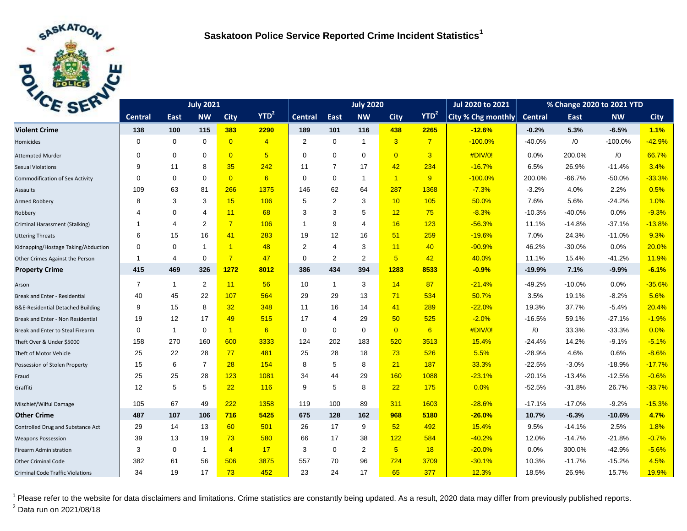

| CE SEL                                  |                | <b>July 2020</b> |                          |                      |                |                | Jul 2020 to 2021 | % Change 2020 to 2021 YTD |                 |                  |                    |                |          |           |             |
|-----------------------------------------|----------------|------------------|--------------------------|----------------------|----------------|----------------|------------------|---------------------------|-----------------|------------------|--------------------|----------------|----------|-----------|-------------|
|                                         | <b>Central</b> | East             | <b>NW</b>                | <b>City</b>          | $YTD^2$        | <b>Central</b> | <b>East</b>      | <b>NW</b>                 | <b>City</b>     | YTD <sup>2</sup> | City % Chg monthly | <b>Central</b> | East     | <b>NW</b> | <b>City</b> |
| <b>Violent Crime</b>                    | 138            | 100              | 115                      | 383                  | 2290           | 189            | 101              | 116                       | 438             | 2265             | $-12.6%$           | $-0.2%$        | 5.3%     | $-6.5%$   | 1.1%        |
| Homicides                               | $\Omega$       | $\mathbf 0$      | $\mathbf 0$              | $\overline{0}$       | $\overline{4}$ | $\overline{2}$ | 0                | $\mathbf{1}$              | $\overline{3}$  | $\overline{7}$   | $-100.0%$          | $-40.0%$       | /0       | $-100.0%$ | $-42.9%$    |
| <b>Attempted Murder</b>                 | $\Omega$       | $\mathbf 0$      | $\Omega$                 | $\overline{0}$       | 5              | $\Omega$       | $\mathbf 0$      | $\mathbf 0$               | $\overline{0}$  | $\overline{3}$   | #DIV/0!            | 0.0%           | 200.0%   | /0        | 66.7%       |
| <b>Sexual Violations</b>                | 9              | 11               | 8                        | 35                   | 242            | 11             | $\overline{7}$   | 17                        | 42              | 234              | $-16.7%$           | 6.5%           | 26.9%    | $-11.4%$  | 3.4%        |
| <b>Commodification of Sex Activity</b>  | $\Omega$       | $\mathbf 0$      | $\Omega$                 | $\overline{0}$       | 6              | $\Omega$       | $\mathbf 0$      | $\mathbf{1}$              | $\overline{1}$  | 9                | $-100.0%$          | 200.0%         | $-66.7%$ | $-50.0%$  | $-33.3%$    |
| Assaults                                | 109            | 63               | 81                       | 266                  | 1375           | 146            | 62               | 64                        | 287             | 1368             | $-7.3%$            | $-3.2%$        | 4.0%     | 2.2%      | 0.5%        |
| Armed Robbery                           | 8              | 3                | 3                        | 15                   | 106            | 5              | $\overline{2}$   | 3                         | 10              | 105              | 50.0%              | 7.6%           | 5.6%     | $-24.2%$  | 1.0%        |
| Robbery                                 | 4              | $\mathbf 0$      | $\overline{\mathcal{A}}$ | 11                   | 68             | 3              | 3                | 5                         | 12              | 75               | $-8.3%$            | $-10.3%$       | $-40.0%$ | 0.0%      | $-9.3%$     |
| Criminal Harassment (Stalking)          | -1             | $\overline{4}$   | 2                        | $\overline{7}$       | 106            | -1             | 9                | $\overline{4}$            | 16              | 123              | $-56.3%$           | 11.1%          | $-14.8%$ | $-37.1%$  | $-13.8%$    |
| <b>Uttering Threats</b>                 | 6              | 15               | 16                       | 41                   | 283            | 19             | 12               | 16                        | 51              | 259              | $-19.6%$           | 7.0%           | 24.3%    | $-11.0%$  | 9.3%        |
| Kidnapping/Hostage Taking/Abduction     | $\Omega$       | $\mathbf 0$      | $\overline{1}$           | $\blacktriangleleft$ | 48             | $\overline{2}$ | $\overline{4}$   | 3                         | 11              | 40               | $-90.9%$           | 46.2%          | $-30.0%$ | 0.0%      | 20.0%       |
| Other Crimes Against the Person         | -1             | $\overline{4}$   | $\Omega$                 | $\overline{7}$       | 47             | $\Omega$       | $\overline{2}$   | 2                         | $5\overline{)}$ | 42               | 40.0%              | 11.1%          | 15.4%    | $-41.2%$  | 11.9%       |
| <b>Property Crime</b>                   | 415            | 469              | 326                      | 1272                 | 8012           | 386            | 434              | 394                       | 1283            | 8533             | $-0.9%$            | $-19.9%$       | 7.1%     | $-9.9%$   | $-6.1%$     |
| Arson                                   | $\overline{7}$ | $\mathbf{1}$     | $\overline{2}$           | 11                   | 56             | 10             | $\mathbf{1}$     | 3                         | 14              | 87               | $-21.4%$           | $-49.2%$       | $-10.0%$ | 0.0%      | $-35.6%$    |
| Break and Enter - Residential           | 40             | 45               | 22                       | 107                  | 564            | 29             | 29               | 13                        | 71              | 534              | 50.7%              | 3.5%           | 19.1%    | $-8.2%$   | 5.6%        |
| B&E-Residential Detached Building       | 9              | 15               | 8                        | 32 <sub>2</sub>      | 348            | 11             | 16               | 14                        | 41              | 289              | $-22.0%$           | 19.3%          | 37.7%    | $-5.4%$   | 20.4%       |
| Break and Enter - Non Residential       | 19             | 12               | 17                       | 49                   | 515            | 17             | 4                | 29                        | 50              | 525              | $-2.0%$            | $-16.5%$       | 59.1%    | $-27.1%$  | $-1.9%$     |
| Break and Enter to Steal Firearm        | $\Omega$       | $\mathbf{1}$     | $\Omega$                 | $\blacktriangleleft$ | 6              | $\mathbf 0$    | $\mathbf 0$      | $\mathbf 0$               | $\overline{0}$  | 6                | #DIV/0!            | /0             | 33.3%    | $-33.3%$  | 0.0%        |
| Theft Over & Under \$5000               | 158            | 270              | 160                      | 600                  | 3333           | 124            | 202              | 183                       | 520             | 3513             | 15.4%              | $-24.4%$       | 14.2%    | $-9.1%$   | $-5.1%$     |
| Theft of Motor Vehicle                  | 25             | 22               | 28                       | 77                   | 481            | 25             | 28               | 18                        | 73              | 526              | 5.5%               | $-28.9%$       | 4.6%     | 0.6%      | $-8.6%$     |
| Possession of Stolen Property           | 15             | 6                | $\overline{7}$           | 28                   | 154            | 8              | 5                | 8                         | 21              | 187              | 33.3%              | $-22.5%$       | $-3.0%$  | $-18.9%$  | $-17.7%$    |
| Fraud                                   | 25             | 25               | 28                       | 123                  | 1081           | 34             | 44               | 29                        | 160             | 1088             | $-23.1%$           | $-20.1%$       | $-13.4%$ | $-12.5%$  | $-0.6%$     |
| Graffiti                                | 12             | 5                | 5                        | 22                   | 116            | 9              | 5                | 8                         | 22              | 175              | 0.0%               | $-52.5%$       | $-31.8%$ | 26.7%     | $-33.7%$    |
| Mischief/Wilful Damage                  | 105            | 67               | 49                       | 222                  | 1358           | 119            | 100              | 89                        | 311             | 1603             | $-28.6%$           | $-17.1%$       | $-17.0%$ | $-9.2%$   | $-15.3%$    |
| <b>Other Crime</b>                      | 487            | 107              | 106                      | 716                  | 5425           | 675            | 128              | 162                       | 968             | 5180             | $-26.0%$           | 10.7%          | $-6.3%$  | $-10.6%$  | 4.7%        |
| Controlled Drug and Substance Act       | 29             | 14               | 13                       | 60                   | 501            | 26             | 17               | 9                         | 52              | 492              | 15.4%              | 9.5%           | $-14.1%$ | 2.5%      | 1.8%        |
| <b>Weapons Possession</b>               | 39             | 13               | 19                       | 73                   | 580            | 66             | 17               | 38                        | 122             | 584              | $-40.2%$           | 12.0%          | $-14.7%$ | $-21.8%$  | $-0.7%$     |
| Firearm Administration                  | 3              | $\mathbf 0$      | $\mathbf{1}$             | $\overline{4}$       | 17             | 3              | $\mathbf 0$      | 2                         | $5\overline{)}$ | 18               | $-20.0%$           | 0.0%           | 300.0%   | $-42.9%$  | $-5.6%$     |
| Other Criminal Code                     | 382            | 61               | 56                       | 506                  | 3875           | 557            | 70               | 96                        | 724             | 3709             | $-30.1%$           | 10.3%          | $-11.7%$ | $-15.2%$  | 4.5%        |
| <b>Criminal Code Traffic Violations</b> | 34             | 19               | 17                       | 73                   | 452            | 23             | 24               | 17                        | 65              | 377              | 12.3%              | 18.5%          | 26.9%    | 15.7%     | 19.9%       |

<sup>1</sup> Please refer to the website for data disclaimers and limitations. Crime statistics are constantly being updated. As a result, 2020 data may differ from previously published reports. <sup>2</sup> Data run on 2021/08/18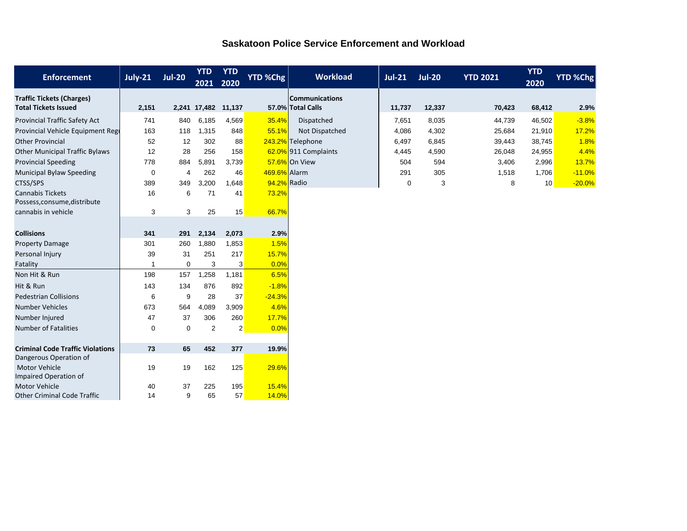| <b>Enforcement</b>                                              | <b>July-21</b> | <b>Jul-20</b> | <b>YTD</b><br>2021  | <b>YTD</b><br>2020 | YTD %Chg     | <b>Workload</b>                            | $Jul-21$    | <b>Jul-20</b> | <b>YTD 2021</b> | <b>YTD</b><br>2020 | <b>YTD %Chg</b> |
|-----------------------------------------------------------------|----------------|---------------|---------------------|--------------------|--------------|--------------------------------------------|-------------|---------------|-----------------|--------------------|-----------------|
| <b>Traffic Tickets (Charges)</b><br><b>Total Tickets Issued</b> | 2,151          |               | 2,241 17,482 11,137 |                    |              | <b>Communications</b><br>57.0% Total Calls | 11,737      | 12,337        | 70,423          | 68,412             | 2.9%            |
| <b>Provincial Traffic Safety Act</b>                            | 741            | 840           | 6,185               | 4,569              | 35.4%        | Dispatched                                 | 7,651       | 8,035         | 44,739          | 46,502             | $-3.8%$         |
| Provincial Vehicle Equipment Regi                               | 163            | 118           | 1,315               | 848                | 55.1%        | Not Dispatched                             | 4,086       | 4,302         | 25,684          | 21,910             | 17.2%           |
| <b>Other Provincial</b>                                         | 52             | 12            | 302                 | 88                 |              | 243.2% Telephone                           | 6,497       | 6,845         | 39,443          | 38,745             | 1.8%            |
| <b>Other Municipal Traffic Bylaws</b>                           | 12             | 28            | 256                 | 158                |              | 62.0% 911 Complaints                       | 4,445       | 4,590         | 26,048          | 24,955             | 4.4%            |
| <b>Provincial Speeding</b>                                      | 778            | 884           | 5,891               | 3,739              |              | 57.6% On View                              | 504         | 594           | 3,406           | 2,996              | 13.7%           |
| <b>Municipal Bylaw Speeding</b>                                 | $\mathbf 0$    | 4             | 262                 | 46                 | 469.6% Alarm |                                            | 291         | 305           | 1,518           | 1,706              | $-11.0%$        |
| CTSS/SPS                                                        | 389            | 349           | 3.200               | 1,648              | 94.2% Radio  |                                            | $\mathbf 0$ | 3             | 8               | 10 <sup>1</sup>    | $-20.0%$        |
| <b>Cannabis Tickets</b><br>Possess, consume, distribute         | 16             | 6             | 71                  | 41                 | 73.2%        |                                            |             |               |                 |                    |                 |
| cannabis in vehicle                                             | 3              | 3             | 25                  | 15                 | 66.7%        |                                            |             |               |                 |                    |                 |
|                                                                 |                |               |                     |                    |              |                                            |             |               |                 |                    |                 |
| <b>Collisions</b>                                               | 341            | 291           | 2,134               | 2,073              | 2.9%         |                                            |             |               |                 |                    |                 |
| <b>Property Damage</b>                                          | 301            | 260           | 1,880               | 1,853              | 1.5%         |                                            |             |               |                 |                    |                 |
| Personal Injury                                                 | 39             | 31            | 251                 | 217                | 15.7%        |                                            |             |               |                 |                    |                 |
| Fatality                                                        | -1             | $\mathbf 0$   | 3                   | 3                  | 0.0%         |                                            |             |               |                 |                    |                 |
| Non Hit & Run                                                   | 198            | 157           | 1,258               | 1,181              | 6.5%         |                                            |             |               |                 |                    |                 |
| Hit & Run                                                       | 143            | 134           | 876                 | 892                | $-1.8%$      |                                            |             |               |                 |                    |                 |
| <b>Pedestrian Collisions</b>                                    | 6              | 9             | 28                  | 37                 | $-24.3%$     |                                            |             |               |                 |                    |                 |
| <b>Number Vehicles</b>                                          | 673            | 564           | 4,089               | 3,909              | 4.6%         |                                            |             |               |                 |                    |                 |
| Number Injured                                                  | 47             | 37            | 306                 | 260                | 17.7%        |                                            |             |               |                 |                    |                 |
| <b>Number of Fatalities</b>                                     | $\mathbf 0$    | 0             | 2                   | $\overline{2}$     | 0.0%         |                                            |             |               |                 |                    |                 |
|                                                                 |                |               |                     |                    |              |                                            |             |               |                 |                    |                 |
| <b>Criminal Code Traffic Violations</b>                         | 73             | 65            | 452                 | 377                | 19.9%        |                                            |             |               |                 |                    |                 |
| Dangerous Operation of                                          |                |               |                     |                    |              |                                            |             |               |                 |                    |                 |
| <b>Motor Vehicle</b><br>Impaired Operation of                   | 19             | 19            | 162                 | 125                | 29.6%        |                                            |             |               |                 |                    |                 |
| <b>Motor Vehicle</b>                                            | 40             | 37            | 225                 | 195                | 15.4%        |                                            |             |               |                 |                    |                 |
| <b>Other Criminal Code Traffic</b>                              | 14             | 9             | 65                  | 57                 | 14.0%        |                                            |             |               |                 |                    |                 |

## **Saskatoon Police Service Enforcement and Workload**